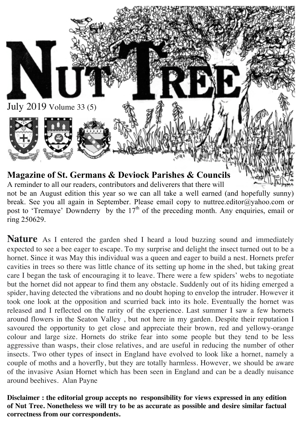

not be an August edition this year so we can all take a well earned (and hopefully sunny) break. See you all again in September. Please email copy to nuttree.editor@yahoo.com or post to 'Tremaye' Downderry by the 17<sup>th</sup> of the preceding month. Any enquiries, email or ring 250629.

**Nature** As I entered the garden shed I heard a loud buzzing sound and immediately expected to see a bee eager to escape. To my surprise and delight the insect turned out to be a hornet. Since it was May this individual was a queen and eager to build a nest. Hornets prefer cavities in trees so there was little chance of its setting up home in the shed, but taking great care I began the task of encouraging it to leave. There were a few spiders' webs to negotiate but the hornet did not appear to find them any obstacle. Suddenly out of its hiding emerged a spider, having detected the vibrations and no doubt hoping to envelop the intruder. However it took one look at the opposition and scurried back into its hole. Eventually the hornet was released and I reflected on the rarity of the experience. Last summer I saw a few hornets around flowers in the Seaton Valley , but not here in my garden. Despite their reputation I savoured the opportunity to get close and appreciate their brown, red and yellowy-orange colour and large size. Hornets do strike fear into some people but they tend to be less aggressive than wasps, their close relatives, and are useful in reducing the number of other insects. Two other types of insect in England have evolved to look like a hornet, namely a couple of moths and a hoverfly, but they are totally harmless. However, we should be aware of the invasive Asian Hornet which has been seen in England and can be a deadly nuisance around beehives. Alan Payne

**Disclaimer : the editorial group accepts no responsibility for views expressed in any edition of Nut Tree. Nonetheless we will try to be as accurate as possible and desire similar factual correctness from our correspondents.**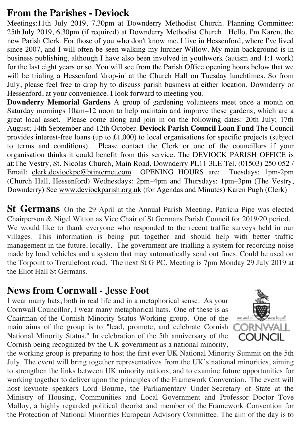## **From the Parishes - Deviock**

Meetings:11th July 2019, 7.30pm at Downderry Methodist Church. Planning Committee: 25th July 2019, 6.30pm (if required) at Downderry Methodist Church. Hello. I'm Karen, the new Parish Clerk. For those of you who don't know me, I live in Hessenford, where I've lived since 2007, and I will often be seen walking my lurcher Willow. My main background is in business publishing, although I have also been involved in youthwork (autism and 1:1 work) for the last eight years or so. You will see from the Parish Office opening hours below that we will be trialing a Hessenford 'drop-in' at the Church Hall on Tuesday lunchtimes. So from July, please feel free to drop by to discuss parish business at either location, Downderry or Hessenford, at your convenience. I look forward to meeting you.

**Downderry Memorial Gardens** A group of gardening volunteers meet once a month on Saturday mornings 10am–12 noon to help maintain and improve these gardens, which are a great local asset. Please come along and join in on the following dates: 20th July; 17th August; 14th September and 12th October. **Deviock Parish Council Loan Fund** The Council provides interest-free loans (up to £1,000) to local organisations for specific projects (subject to terms and conditions). Please contact the Clerk or one of the councillors if your organisation thinks it could benefit from this service. The DEVIOCK PARISH OFFICE is at:The Vestry, St. Nicolas Church, Main Road, Downderry PL11 3LE Tel. (01503) 250 052 / Email: clerk.deviockpc@btinternet.com OPENING HOURS are: Tuesdays: 1pm-2pm (Church Hall, Hessenford) Wednesdays: 2pm–4pm and Thursdays: 1pm–3pm (The Vestry, Downderry) See www.deviockparish.org.uk (for Agendas and Minutes) Karen Pugh (Clerk)

**St Germans** On the 29 April at the Annual Parish Meeting, Patricia Pipe was elected Chairperson & Nigel Witton as Vice Chair of St Germans Parish Council for 2019/20 period. We would like to thank everyone who responded to the recent traffic surveys held in our villages. This information is being put together and should help with better traffic management in the future, locally. The government are trialling a system for recording noise made by loud vehicles and a system that may automatically send out fines. Could be used on the Torpoint to Trerulefoot road. The next St G PC. Meeting is 7pm Monday 29 July 2019 at the Eliot Hall St Germans.

## **News from Cornwall - Jesse Foot**

I wear many hats, both in real life and in a metaphorical sense. As your Cornwall Councillor, I wear many metaphorical hats. One of these is as Chairman of the Cornish Minority Status Working group. One of the main aims of the group is to "lead, promote, and celebrate Cornish National Minority Status." In celebration of the 5th anniversary of the Cornish being recognized by the UK government as a national minority,



the working group is preparing to host the first ever UK National Minority Summit on the 5th July. The event will bring together representatives from the UK's national minorities, aiming to strengthen the links between UK minority nations, and to examine future opportunities for working together to deliver upon the principles of the Framework Convention. The event will host keynote speakers Lord Bourne, the Parliamentary Under-Secretary of State at the Ministry of Housing, Communities and Local Government and Professor Doctor Tove Malloy, a highly regarded political theorist and member of the Framework Convention for the Protection of National Minorities European Advisory Committee. The aim of the day is to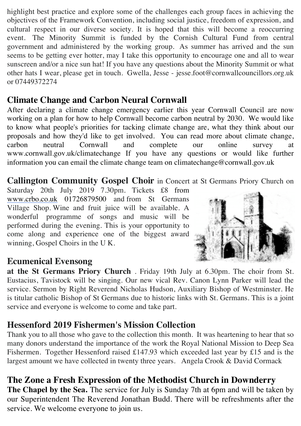highlight best practice and explore some of the challenges each group faces in achieving the objectives of the Framework Convention, including social justice, freedom of expression, and cultural respect in our diverse society. It is hoped that this will become a reoccurring event. The Minority Summit is funded by the Cornish Cultural Fund from central government and administered by the working group. As summer has arrived and the sun seems to be getting ever hotter, may I take this opportunity to encourage one and all to wear sunscreen and/or a nice sun hat! If you have any questions about the Minority Summit or what other hats I wear, please get in touch. Gwella, Jesse - jesse.foot@cornwallcouncillors.org.uk or 07449372274

## **Climate Change and Carbon Neural Cornwall**

After declaring a climate change emergency earlier this year Cornwall Council are now working on a plan for how to help Cornwall become carbon neutral by 2030. We would like to know what people's priorities for tacking climate change are, what they think about our proposals and how they'd like to get involved. You can read more about climate change, carbon neutral Cornwall and complete our online survey at www.cornwall.gov.uk/climatechange If you have any questions or would like further information you can email the climate change team on climatechange@cornwall.gov.uk

**Callington Community Gospel Choir** in Concert at St Germans Priory Church on

Saturday 20th July 2019 7.30pm. Tickets £8 from www.crbo.co.uk 01726879500 and from St Germans Village Shop. Wine and fruit juice will be available. A wonderful programme of songs and music will be performed during the evening. This is your opportunity to come along and experience one of the biggest award winning, Gospel Choirs in the U K.



## **Ecumenical Evensong**

**at the St Germans Priory Church** . Friday 19th July at 6.30pm. The choir from St. Eustacius, Tavistock will be singing. Our new vical Rev. Canon Lynn Parker will lead the service. Sermon by Right Reverend Nicholas Hudson, Auxiliary Bishop of Westminster. He is titular catholic Bishop of St Germans due to historic links with St. Germans. This is a joint service and everyone is welcome to come and take part.

## **Hessenford 2019 Fishermen's Mission Collection**

Thank you to all those who gave to the collection this month. It was heartening to hear that so many donors understand the importance of the work the Royal National Mission to Deep Sea Fishermen. Together Hessenford raised £147.93 which exceeded last year by £15 and is the largest amount we have collected in twenty three years. Angela Crook & David Cormack

## **The Zone a Fresh Expression of the Methodist Church in Downderry**

**The Chapel by the Sea.** The service for July is Sunday 7th at 6pm and will be taken by our Superintendent The Reverend Jonathan Budd. There will be refreshments after the service. We welcome everyone to join us.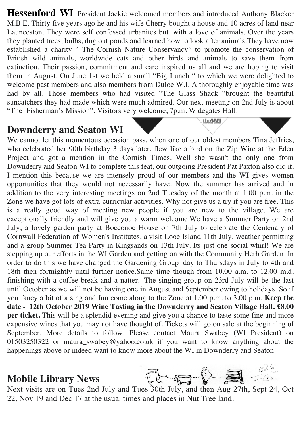Hessenford WI President Jackie welcomed members and introduced Anthony Blacker M.B.E. Thirty five years ago he and his wife Cherry bought a house and 10 acres of land near Launceston. They were self confessed urbanites but with a love of animals. Over the years they planted trees, bulbs, dug out ponds and learned how to look after animals.They have now established a charity " The Cornish Nature Conservancy" to promote the conservation of British wild animals, worldwide cats and other birds and animals to save them from extinction. Their passion, commitment and care inspired us all and we are hoping to visit them in August. On June 1st we held a small "Big Lunch " to which we were delighted to welcome past members and also members from Duloe W.I. A thoroughly enjoyable time was had by all. Those members who had visited "The Glass Shack "brought the beautiful suncatchers they had made which were much admired. Our next meeting on 2nd July is about "The Fisherman's Mission". Visitors very welcome, 7p.m. Widegates Hall.

## **Downderry and Seaton WI**

We cannot let this momentous occasion pass, when one of our oldest members Tina Jeffries, who celebrated her 90th birthday 3 days later, flew like a bird on the Zip Wire at the Eden Project and got a mention in the Cornish Times. Well she wasn't the only one from Downderry and Seaton WI to complete this feat, our outgoing President Pat Paxton also did it. I mention this because we are intensely proud of our members and the WI gives women opportunities that they would not necessarily have. Now the summer has arrived and in addition to the very interesting meetings on 2nd Tuesday of the month at 1.00 p.m. in the Zone we have got lots of extra-curricular activities. Why not give us a try if you are free. This is a really good way of meeting new people if you are new to the village. We are exceptionally friendly and will give you a warm welcome.We have a Summer Party on 2nd July, a lovely garden party at Bocconoc House on 7th July to celebrate the Centenary of Cornwall Federation of Women's Institutes, a visit Looe Island 11th July, weather permitting and a group Summer Tea Party in Kingsands on 13th July. Its just one social whirl! We are stepping up our efforts in the WI Garden and getting on with the Community Herb Garden. In order to do this we have changed the Gardening Group day to Thursdays in July to 4th and 18th then fortnightly until further notice.Same time though from 10.00 a.m. to 12.00 m.d. finishing with a coffee break and a natter. The singing group on 23rd July will be the last until October as we will not be having one in August and September owing to holidays. So if you fancy a bit of a sing and fun come along to the Zone at 1.00 p.m. to 3.00 p.m. **Keep the date - 12th October 2019 Wine Tasting in the Downderry and Seaton Village Hall. £8,00 per ticket.** This will be a splendid evening and give you a chance to taste some fine and more expensive wines that you may not have thought of. Tickets will go on sale at the beginning of September. More details to follow. Please contact Maura Swabey (WI President) on 01503250322 or maura swabey@yahoo.co.uk if you want to know anything about the happenings above or indeed want to know more about the WI in Downderry and Seaton"

## **Mobile Library News**



theWI

22, Nov 19 and Dec 17 at the usual times and places in Nut Tree land.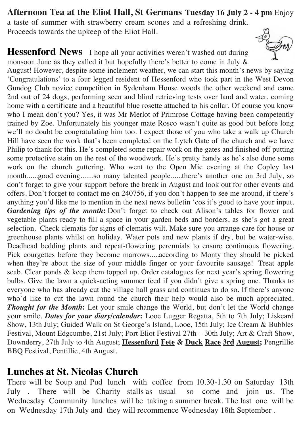**Afternoon Tea at the Eliot Hall, St Germans Tuesday 16 July 2 - 4 pm** Enjoy a taste of summer with strawberry cream scones and a refreshing drink. Proceeds towards the upkeep of the Eliot Hall.

**Hessenford News** I hope all your activities weren't washed out during monsoon June as they called it but hopefully there's better to come in July &



## **Lunches at St. Nicolas Church**

There will be Soup and Pud lunch with coffee from 10.30-1.30 on Saturday 13th July . There will be Charity stalls as usual so come and join us. The Wednesday Community lunches will be taking a summer break. The last one will be on Wednesday 17th July and they will recommence Wednesday 18th September .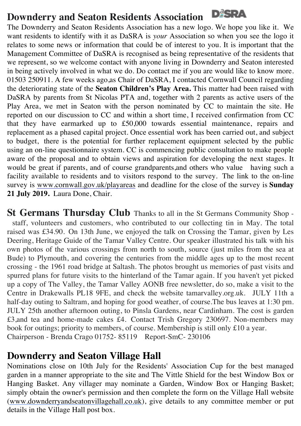## **Downderry and Seaton Residents Association**

The Downderry and Seaton Residents Association has a new logo. We hope you like it. We want residents to identify with it as DaSRA is *your* Association so when you see the logo it relates to some news or information that could be of interest to you. It is important that the Management Committee of DaSRA is recognised as being representative of the residents that we represent, so we welcome contact with anyone living in Downderry and Seaton interested in being actively involved in what we do. Do contact me if you are would like to know more. 01503 250911. A few weeks ago,as Chair of DaSRA, I contacted Cornwall Council regarding the deteriorating state of the **Seaton Children's Play Area.** This matter had been raised with DaSRA by parents from St Nicolas PTA and, together with 2 parents as active users of the Play Area, we met in Seaton with the person nominated by CC to maintain the site. He reported on our discussion to CC and within a short time, I received confirmation from CC that they have earmarked up to £50,000 towards essential maintenance, repairs and replacement as a phased capital project. Once essential work has been carried out, and subject to budget, there is the potential for further replacement equipment selected by the public using an on-line questionnaire system. CC is commencing public consultation to make people aware of the proposal and to obtain views and aspiration for developing the next stages. It would be great if parents, and of course grandparents,and others who value having such a facility available to residents and to visitors respond to the survey. The link to the on-line survey is www.cornwall.gov.uk/playareas and deadline for the close of the survey is **Sunday 21 July 2019.** Laura Done, Chair.

**St Germans Thursday Club** Thanks to all in the St Germans Community Shop staff, volunteers and customers, who contributed to our collecting tin in May. The total raised was £34.90. On 13th June, we enjoyed the talk on Crossing the Tamar, given by Les Deering, Heritage Guide of the Tamar Valley Centre. Our speaker illustrated his talk with his own photos of the various crossings from north to south, source (just miles from the sea at Bude) to Plymouth, and covering the centuries from the middle ages up to the most recent crossing - the 1961 road bridge at Saltash. The photos brought us memories of past visits and spurred plans for future visits to the hinterland of the Tamar again. If you haven't yet picked up a copy of The Valley, the Tamar Valley AONB free newsletter, do so, make a visit to the Centre in Drakewalls PL18 9FE, and check the website tamarvalley.org.uk. JULY 11th a half-day outing to Saltram, and hoping for good weather, of course.The bus leaves at 1:30 pm. JULY 25th another afternoon outing, to Pinsla Gardens, near Cardinham. The cost is garden £3,and tea and home-made cakes £4. Contact Trish Gregory 230697. Non-members may book for outings; priority to members, of course. Membership is still only £10 a year. Chairperson - Brenda Crago 01752- 85119 Report-SmC- 230106

## **Downderry and Seaton Village Hall**

Nominations close on 10th July for the Residents' Association Cup for the best managed garden in a manner appropriate to the site and The Vittle Shield for the best Window Box or Hanging Basket. Any villager may nominate a Garden, Window Box or Hanging Basket; simply obtain the owner's permission and then complete the form on the Village Hall website (www.downderryandseatonvillagehall.co.uk), give details to any committee member or put details in the Village Hall post box.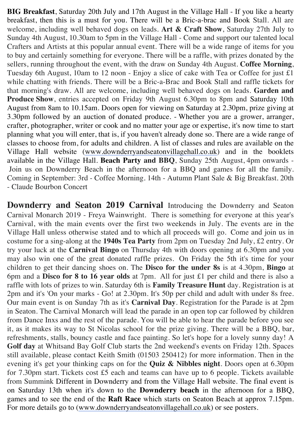**BIG Breakfast**, Saturday 20th July and 17th August in the Village Hall - If you like a hearty breakfast, then this is a must for you. There will be a Bric-a-brac and Book Stall. All are welcome, including well behaved dogs on leads. **Art & Craft Show**, Saturday 27th July to Sunday 4th August, 10.30am to 5pm in the Village Hall - Come and support our talented local Crafters and Artists at this popular annual event. There will be a wide range of items for you to buy and certainly something for everyone. There will be a raffle, with prizes donated by the sellers, running throughout the event, with the draw on Sunday 4th August. **Coffee Morning**, Tuesday 6th August, 10am to 12 noon - Enjoy a slice of cake with Tea or Coffee for just £1 while chatting with friends. There will be a Bric-a-Brac and Book Stall and raffle tickets for that morning's draw. All are welcome, including well behaved dogs on leads. **Garden and Produce Show**, entries accepted on Friday 9th August 6.30pm to 8pm and Saturday 10th August from 8am to 10.15am. Doors open for viewing on Saturday at 2.30pm, prize giving at 3.30pm followed by an auction of donated produce. - Whether you are a grower, arranger, crafter, photographer, writer or cook and no matter your age or expertise, it's now time to start planning what you will enter, that is, if you haven't already done so. There are a wide range of classes to choose from, for adults and children. A list of classes and rules are available on the Village Hall website (www.downderryandseatonvillagehall.co.uk) and in the booklets available in the Village Hall. **Beach Party and BBQ**, Sunday 25th August, 4pm onwards - Join us on Downderry Beach in the afternoon for a BBQ and games for all the family. Coming in September: 3rd - Coffee Morning. 14th - Autumn Plant Sale & Big Breakfast. 20th - Claude Bourbon Concert

**Downderry and Seaton 2019 Carnival** Introducing the Downderry and Seaton Carnival Monarch 2019 - Freya Wainwright. There is something for everyone at this year's Carnival, with the main events over the first two weekends in July. The events are in the Village Hall unless otherwise stated and to which all proceeds will go. Come and join us in costume for a sing-along at the **1940s Tea Party** from 2pm on Tuesday 2nd July, £2 entry. Or try your luck at the **Carnival Bingo** on Thursday 4th with doors opening at 6.30pm and you may also win one of the great donated raffle prizes. On Friday the 5th it's time for your children to get their dancing shoes on. The **Disco for the under 8s** is at 4.30pm, **Bingo** at 6pm and a **Disco for 8 to 16 year olds** at 7pm. All for just £1 per child and there is also a raffle with lots of prizes to win. Saturday 6th is **Family Treasure Hunt** day. Registration is at 2pm and it's 'On your marks - Go! at 2.30pm. It's 50p per child and adult with under 8s free. Our main event is on Sunday 7th as it's **Carnival Day**. Registration for the Parade is at 2pm in Seaton. The Carnival Monarch will lead the parade in an open top car followed by children from Dance Inxs and the rest of the parade. You will be able to hear the parade before you see it, as it makes its way to St Nicolas school for the prize giving. There will be a BBQ, bar, refreshments, stalls, bouncy castle and face painting. So let's hope for a lovely sunny day! A **Golf day** at Whitsand Bay Golf Club starts the 2nd weekend's events on Friday 12th. Spaces still available, please contact Keith Smith (01503 250412) for more information. Then in the evening it's get your thinking caps on for the **Quiz & Nibbles night**. Doors open at 6.30pm for 7.30pm start. Tickets cost £5 each and teams can have up to 6 people. Tickets available from Summink Different in Downderry and from the Village Hall website. The final event is on Saturday 13th when it's down to the **Downderry beach** in the afternoon for a BBQ, games and to see the end of the **Raft Race** which starts on Seaton Beach at approx 7.15pm. For more details go to (www.downderryandseatonvillagehall.co.uk) or see posters.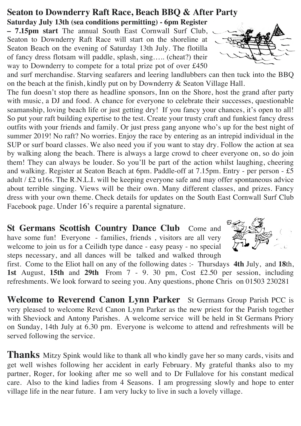## **Seaton to Downderry Raft Race, Beach BBQ & After Party**

**Saturday July 13th (sea conditions permitting) - 6pm Register – 7.15pm start** The annual South East Cornwall Surf Club, Seaton to Downderry Raft Race will start on the shoreline at Seaton Beach on the evening of Saturday 13th July. The flotilla of fancy dress flotsam will paddle, splash, sing….. (cheat?) their way to Downderry to compete for a total prize pot of over £450



and surf merchandise. Starving seafarers and leering landlubbers can then tuck into the BBQ on the beach at the finish, kindly put on by Downderry & Seaton Village Hall.

The fun doesn't stop there as headline sponsors, Inn on the Shore, host the grand after party with music, a DJ and food. A chance for everyone to celebrate their successes, questionable seamanship, loving beach life or just getting dry! If you fancy your chances, it's open to all! So put your raft building expertise to the test. Create your trusty craft and funkiest fancy dress outfits with your friends and family. Or just press gang anyone who's up for the best night of summer 2019! No raft? No worries. Enjoy the race by entering as an intrepid individual in the SUP or surf board classes. We also need you if you want to stay dry. Follow the action at sea by walking along the beach. There is always a large crowd to cheer everyone on, so do join them! They can always be louder. So you'll be part of the action whilst laughing, cheering and walking. Register at Seaton Beach at 6pm. Paddle-off at 7.15pm. Entry - per person - £5 adult / £2 u16s. The R.N.L.I. will be keeping everyone safe and may offer spontaneous advice about terrible singing. Views will be their own. Many different classes, and prizes. Fancy dress with your own theme. Check details for updates on the South East Cornwall Surf Club Facebook page. Under 16's require a parental signature.

**St Germans Scottish Country Dance Club** Come and have some fun! Everyone - families, friends , visitors are all very welcome to join us for a Ceilidh type dance - easy peasy - no special steps necessary, and all dances will be talked and walked through



first. Come to the Eliot hall on any of the following dates :- Thursdays **4th** July, and **18**th, **1st** August, **15th** and **29th** From 7 - 9. 30 pm, Cost £2.50 per session, including refreshments. We look forward to seeing you. Any questions, phone Chris on 01503 230281

**Welcome to Reverend Canon Lynn Parker** St Germans Group Parish PCC is very pleased to welcome Revd Canon Lynn Parker as the new priest for the Parish together with Sheviock and Antony Parishes. A welcome service will be held in St Germans Priory on Sunday, 14th July at 6.30 pm. Everyone is welcome to attend and refreshments will be served following the service.

**Thanks** Mitzy Spink would like to thank all who kindly gave her so many cards, visits and get well wishes following her accident in early February. My grateful thanks also to my partner, Roger, for looking after me so well and to Dr Fullalove for his constant medical care. Also to the kind ladies from 4 Seasons. I am progressing slowly and hope to enter village life in the near future. I am very lucky to live in such a lovely village.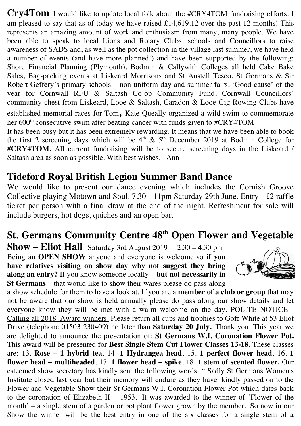**Cry4Tom** I would like to update local folk about the #CRY4TOM fundraising efforts. I am pleased to say that as of today we have raised £14,619.12 over the past 12 months! This represents an amazing amount of work and enthusiasm from many, many people. We have been able to speak to local Lions and Rotary Clubs, schools and Councillors to raise awareness of SADS and, as well as the pot collection in the village last summer, we have held a number of events (and have more planned!) and have been supported by the following: Shore Financial Planning (Plymouth), Bodmin & Callywith Colleges all held Cake Bake Sales, Bag-packing events at Liskeard Morrisons and St Austell Tesco, St Germans & Sir Robert Geffery's primary schools – non-uniform day and summer fairs, 'Good cause' of the year for Cornwall RFU & Saltash Co-op Community Fund, Cornwall Councillors' community chest from Liskeard, Looe & Saltash, Caradon & Looe Gig Rowing Clubs have established memorial races for Tom**,** Kate Queally organized a wild swim to commemorate her  $600<sup>th</sup>$  consecutive swim after beating cancer with funds given to  $\#$ CRY4TOM

It has been busy but it has been extremely rewarding. It means that we have been able to book the first 2 screening days which will be  $4<sup>th</sup>$  &  $5<sup>th</sup>$  December 2019 at Bodmin College for **#CRY4TOM.** All current fundraising will be to secure screening days in the Liskeard / Saltash area as soon as possible. With best wishes, Ann

## **Tideford Royal British Legion Summer Band Dance**

We would like to present our dance evening which includes the Cornish Groove Collective playing Motown and Soul. 7.30 - 11pm Saturday 29th June. Entry - £2 raffle ticket per person with a final draw at the end of the night. Refreshment for sale will include burgers, hot dogs, quiches and an open bar.

## **St. Germans Community Centre 48th Open Flower and Vegetable**

**Show – Eliot Hall** Saturday 3rd August 2019 2.30 – 4.30 pm Being an **OPEN SHOW** anyone and everyone is welcome so **if you have relatives visiting on show day why not suggest they bring along an entry?** If you know someone locally – **but not necessarily in St Germans** – that would like to show their wares please do pass along



a show schedule for them to have a look at. If you are a **member of a club or group** that may not be aware that our show is held annually please do pass along our show details and let everyone know they will be met with a warm welcome on the day. POLITE NOTICE - Calling all 2018 Award winners. Please return all cups and trophies to Goff White at 53 Eliot Drive (telephone 01503 230409) no later than **Saturday 20 July.** Thank you. This year we are delighted to announce the presentation of: **St Germans W.I. Coronation Flower Pot.**  This award will be presented for **Best Single Stem Cut Flower Classes 13-18.** These classes are: 13. **Rose – 1 hybrid tea**, 14. **1 Hydrangea head**, 15. **1 perfect flower head**, 16. **1 flower head – multiheaded**, 17. **1 flower head – spike**, 18. **1 stem of scented flower.** Our esteemed show secretary has kindly sent the following words " Sadly St Germans Women's Institute closed last year but their memory will endure as they have kindly passed on to the Flower and Vegetable Show their St Germans W.I. Coronation Flower Pot which dates back to the coronation of Elizabeth II – 1953. It was awarded to the winner of 'Flower of the month' – a single stem of a garden or pot plant flower grown by the member. So now in our Show the winner will be the best entry in one of the six classes for a single stem of a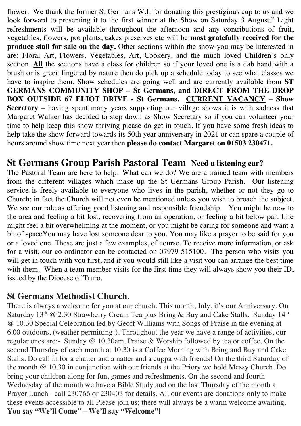flower. We thank the former St Germans W.I. for donating this prestigious cup to us and we look forward to presenting it to the first winner at the Show on Saturday 3 August." Light refreshments will be available throughout the afternoon and any contributions of fruit, vegetables, flowers, pot plants, cakes preserves etc will be **most gratefully received for the produce stall for sale on the day.** Other sections within the show you may be interested in are: Floral Art, Flowers, Vegetables, Art, Cookery, and the much loved Children's only section. **All** the sections have a class for children so if your loved one is a dab hand with a brush or is green fingered by nature then do pick up a schedule today to see what classes we have to inspire them. Show schedules are going well and are currently available from **ST GERMANS COMMUNITY SHOP – St Germans, and DIRECT FROM THE DROP BOX OUTSIDE 67 ELIOT DRIVE - St Germans. CURRENT VACANCY** – **Show Secretary** – having spent many years supporting our village shows it is with sadness that Margaret Walker has decided to step down as Show Secretary so if you can volunteer your time to help keep this show thriving please do get in touch. If you have some fresh ideas to help take the show forward towards its 50th year anniversary in 2021 or can spare a couple of hours around show time next year then **please do contact Margaret on 01503 230471.**

## **St Germans Group Parish Pastoral Team Need a listening ear?**

The Pastoral Team are here to help. What can we do? We are a trained team with members from the different villages which make up the St Germans Group Parish. Our listening service is freely available to everyone who lives in the parish, whether or not they go to Church; in fact the Church will not even be mentioned unless you wish to broach the subject. We see our role as offering good listening and responsible friendship. You might be new to the area and feeling a bit lost, recovering from an operation, or feeling a bit below par. Life might feel a bit overwhelming at the moment, or you might be caring for someone and want a bit of spaceYou may have lost someone dear to you. You may like a prayer to be said for you or a loved one. These are just a few examples, of course. To receive more information, or ask for a visit, our co-ordinator can be contacted on 07979 515100. The person who visits you will get in touch with you first, and if you would still like a visit you can arrange the best time with them. When a team member visits for the first time they will always show you their ID, issued by the Diocese of Truro.

#### **St Germans Methodist Church**.

There is always a welcome for you at our church. This month, July, it's our Anniversary. On Saturday 13<sup>th</sup> @ 2.30 Strawberry Cream Tea plus Bring & Buy and Cake Stalls. Sunday 14<sup>th</sup> @ 10.30 Special Celebration led by Geoff Williams with Songs of Praise in the evening at 6.00 outdoors, (weather permitting!). Throughout the year we have a range of activities, our regular ones are:- Sunday @ 10.30am. Praise & Worship followed by tea or coffee. On the second Thursday of each month at 10.30 is a Coffee Morning with Bring and Buy and Cake Stalls. Do call in for a chatter and a natter and a cuppa with friends! On the third Saturday of the month @ 10.30 in conjunction with our friends at the Priory we hold Messy Church. Do bring your children along for fun, games and refreshments. On the second and fourth Wednesday of the month we have a Bible Study and on the last Thursday of the month a Prayer Lunch - call 230766 or 230403 for details. All our events are donations only to make these events accessible to all Please join us; there will always be a warm welcome awaiting. **You say "We'll Come" – We'll say "Welcome"!**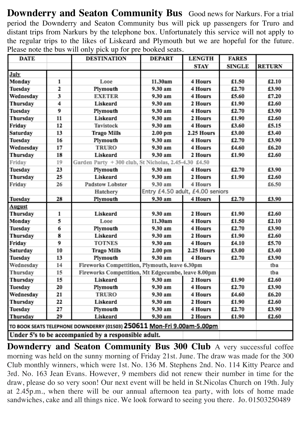**Downderry and Seaton Community Bus** Good news for Narkurs. For a trial period the Downderry and Seaton Community bus will pick up passengers for Truro and distant trips from Narkurs by the telephone box. Unfortunately this service will not apply to the regular trips to the likes of Liskeard and Plymouth but we are hopeful for the future. Please note the bus will only pick up for pre booked seats.

| <b>DATE</b>   |    | <b>DESTINATION</b>                                                     | <b>DEPART</b>                    | <b>LENGTH</b> | <b>FARES</b>  |               |
|---------------|----|------------------------------------------------------------------------|----------------------------------|---------------|---------------|---------------|
|               |    |                                                                        |                                  | STAY          | <b>SINGLE</b> | <b>RETURN</b> |
| July          |    |                                                                        |                                  |               |               |               |
| Monday        | 1  | Looe                                                                   | 11.30am                          | 4 Hours       | £1.50         | £2.10         |
| Tuesday       | 2  | Plymouth                                                               | 9.30 am                          | 4 Hours       | £2.70         | £3.90         |
| Wednesday     | 3  | EXETER                                                                 | 9.30 am                          | 4 Hours       | £5.60         | £7.20         |
| Thursday      | 4  | Liskeard                                                               | 9.30 am                          | 2 Hours       | £1.90         | £2.60         |
| Tuesday       | 9  | Plymouth                                                               | 9.30 am                          | 4 Hours       | £2.70         | £3.90         |
| Thursday      | 11 | Liskeard                                                               | 9.30 am                          | 2 Hours       | £1.90         | £2.60         |
| Friday        | 12 | Tavistock                                                              | 9.30 am                          | 4 Hours       | £3.60         | £5.15         |
| Saturday      | 13 | <b>Trago Mills</b>                                                     | $2.00$ pm                        | 2.25 Hours    | £3.00         | £3.40         |
| Tuesday       | 16 | Plymouth                                                               | 9.30 am                          | 4 Hours       | £2.70         | £3.90         |
| Wednesday     | 17 | <b>TRURO</b>                                                           | 9.30 am                          | 4 Hours       | £4.60         | £6.20         |
| Thursday      | 18 | Liskeard                                                               | 9.30 am                          | 2 Hours       | £1.90         | £2.60         |
| Friday        | 19 | Garden Party + 300 club, St Nicholas, 2.45-4.30 £4.50                  |                                  |               |               |               |
| Tuesday       | 23 | Plymouth                                                               | 9.30 am                          | 4 Hours       | £2.70         | £3.90         |
| Thursday      | 25 | Liskeard                                                               | 9.30 am                          | 2 Hours       | £1.90         | £2.60         |
| Friday        | 26 | <b>Padstow Lobster</b>                                                 | 9.30 am                          | 4 Hours       |               | £6.50         |
|               |    | Hatchery                                                               | Entry £4.50 adult, £4.00 seniors |               |               |               |
| Tuesday       | 28 | Plymouth                                                               | 9.30 am                          | 4 Hours       | £2.70         | £3.90         |
| <b>August</b> |    |                                                                        |                                  |               |               |               |
|               |    |                                                                        |                                  |               |               |               |
| Thursday      | 1  | Liskeard                                                               | 9.30 am                          | 2 Hours       | £1.90         | £2.60         |
| Monday        | 5  | Looe                                                                   | 11.30am                          | 4 Hours       | £1.50         | £2.10         |
| Tuesday       | 6  | Plymouth                                                               | 9.30 am                          | 4 Hours       | £2.70         | £3.90         |
| Thursday      | 8  | Liskeard                                                               | 9.30 am                          | 2 Hours       | £1.90         | £2.60         |
| Friday        | 9  | <b>TOTNES</b>                                                          | 9.30 am                          | 4 Hours       | £4.10         | £5.70         |
| Saturday      | 10 | <b>Trago Mills</b>                                                     | 2.00 pm                          | 2.25 Hours    | £3.00         | £3.40         |
| Tuesday       | 13 | Plymouth                                                               | 9.30 am                          | 4 Hours       | £2.70         | £3.90         |
| Wednesday     | 14 | Fireworks Compettition, Plymouth, leave 6.30pm                         |                                  |               |               | tba           |
| Thursday      | 15 | Fireworks Compettition, Mt Edgecumbe, leave 8.00pm                     |                                  |               |               | tba           |
| Thursday      | 15 | Liskeard                                                               | 9.30 am                          | 2 Hours       | £1.90         | £2.60         |
| Tuesday       | 20 | Plymouth                                                               | 9.30 am                          | 4 Hours       | £2.70         | £3.90         |
| Wednesday     | 21 | <b>TRURO</b>                                                           | 9.30 am                          | 4 Hours       | £4.60         | £6.20         |
| Thursday      | 22 | Liskeard                                                               | 9.30 am                          | 2 Hours       | £1.90         | £2.60         |
| Tuesday       | 27 | Plymouth                                                               | 9.30 am                          | 4 Hours       | £2.70         | £3.90         |
| Thursday      | 29 | Liskeard                                                               | 9.30 am                          | 2 Hours       | £1.90         | £2.60         |
|               |    | TO BOOK SEATS TELEPHONE DOWNDERRY (01503) 250611 Mon-Fri 9.00am-5.00pm |                                  |               |               |               |

**Downderry and Seaton Community Bus 300 Club** A very successful coffee morning was held on the sunny morning of Friday 21st. June. The draw was made for the 300 Club monthly winners, which were 1st. No. 136 M. Stephens 2nd. No. 114 Kitty Pearce and 3rd. No. 163 Jean Evans. However, 9 members did not renew their number in time for the draw, please do so very soon! Our next event will be held in St.Nicolas Church on 19th. July at 2.45p.m., when there will be our annual afternoon tea party, with lots of home made sandwiches, cake and all things nice. We look forward to seeing you there. Jo. 01503250489